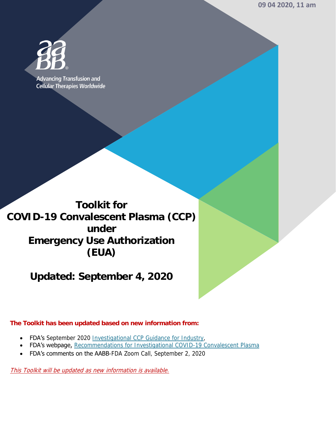**09 04 2020, 11 am** 



**Advancing Transfusion and Cellular Therapies Worldwide** 

**Toolkit for COVID-19 Convalescent Plasma (CCP) under Emergency Use Authorization (EUA)** 

**Updated: September 4, 2020** 

**The Toolkit has been updated based on new information from:** 

- FDA's September 2020 [Investigational CCP Guidance for Industry,](https://www.fda.gov/regulatory-information/search-fda-guidance-documents/investigational-covid-19-convalescent-plasma)
- FDA's webpage, Recommendations for Investigational COVID-19 Convalescent Plasma
- FDA's comments on the AABB-FDA Zoom Call, September 2, 2020

This Toolkit will be updated as new information is available.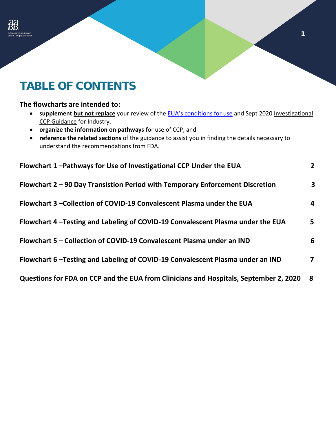## **TABLE OF CONTENTS**

## **The flowcharts are intended to:**

**•** supplement but not replace your review of the **EU[A's conditions](https://www.fda.gov/media/141477/download) for use** and Sept 2020 Investigational [CCP Guidance](https://www.fda.gov/regulatory-information/search-fda-guidance-documents/investigational-covid-19-convalescent-plasma) for Industry,

1

- **organize the information on pathways** for use of CCP, and
- **reference the related sections** of the guidance to assist you in finding the details necessary to understand the recommendations from FDA.

| Flowchart 1-Pathways for Use of Investigational CCP Under the EUA                     | 2 <sup>1</sup> |
|---------------------------------------------------------------------------------------|----------------|
| Flowchart 2 - 90 Day Transistion Period with Temporary Enforcement Discretion         | $\mathbf{3}$   |
| Flowchart 3 –Collection of COVID-19 Convalescent Plasma under the EUA                 | 4              |
| Flowchart 4-Testing and Labeling of COVID-19 Convalescent Plasma under the EUA        | 5              |
| Flowchart 5 - Collection of COVID-19 Convalescent Plasma under an IND                 | 6              |
| Flowchart 6-Testing and Labeling of COVID-19 Convalescent Plasma under an IND         | 7              |
| Questions for FDA on CCP and the EUA from Clinicians and Hospitals, September 2, 2020 | -8             |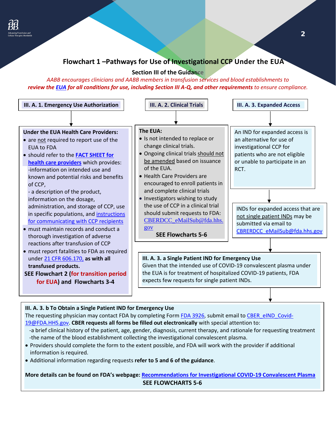

## <span id="page-2-0"></span> **Flowchart 1 –Pathways for Use of Investigational CCP Under the EUA**

## **Section III of the Guidance**

 *review th[e EUA](https://www.fda.gov/media/141477/download) for all conditions for use, including Section III A-Q, and other requirements to ensure compliance. AABB encourages clinicians and AABB members in transfusion services and blood establishments to* 



#### **III. A. 3. b To Obtain a Single Patient IND for Emergency Use**

 [19@FDA.HHS.gov.](mailto:CBER_eIND_Covid-19@FDA.HHS.gov) **CBER requests all forms be filled out electronically** with special attention to: The requesting physician may contact FDA by completing Form [FDA 3926,](https://www.fda.gov/media/98616/download) submit email to [CBER\\_eIND\\_Covid-](mailto:CBER_eIND_Covid-19@FDA.HHS.gov)-a brief clinical history of the patient, age, gender, diagnosis, current therapy, and rationale for requesting treatment

- -the name of the blood establishment collecting the investigational convalescent plasma.
- Providers should complete the form to the extent possible, and FDA will work with the provider if additional information is required.
- Additional information regarding requests **refer to 5 and 6 of the guidance**.

## **More details can be found on FDA's webpage: [Recommendations for Investigational COVID-19 Convalescent Plasma](https://www.fda.gov/vaccines-blood-biologics/investigational-new-drug-ind-or-device-exemption-ide-process-cber/recommendations-investigational-covid-19-convalescent-plasma)  SEE FLOWCHARTS 5-6**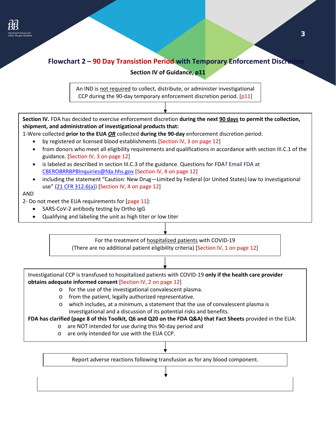

<span id="page-3-0"></span>

Investigational CCP is transfused to hospitalized patients with COVID-19 **only if the health care provider obtains adequate informed consent** [Section IV, 2 on page 12]

- o for the use of the investigational convalescent plasma.
- o from the patient, legally authorized representative.
- o which includes, at a minimum, a statement that the use of convalescent plasma is investigational and a discussion of its potential risks and benefits.

 **FDA has clarified (page 8 of this Toolkit, Q6 and Q20 on the FDA Q&A) that Fact Sheets** provided in the EUA:

- o are NOT intended for use during this 90-day period and
- o are only intended for use with the EUA CCP.

Report adverse reactions following transfusion as for any blood component.

**i** 

**i** 

I I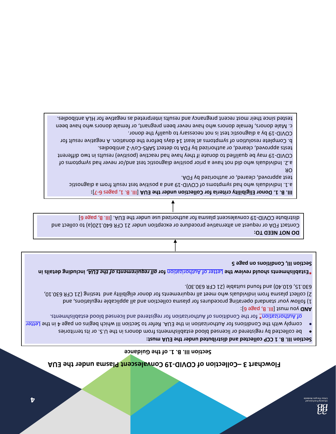**Section III. B. 1. of the Guidance** 

#### Section III. B. 1 CCP collected and distributed under the EUA must:

- be collected by registered or licensed blood establishments trom donors in the U.S. or its territories
- complywith the Conditional and zor buridion in the EUA. Refer to Section III which begins on page 4 in the Letter of Authoridation boold basnesil bns beneitasing not noitssinod the Ao and incorportation the Constance and the Co

**Dig** 986q (Bill. B, page 6]:

2) collect plasma from individuals who meet all requirements for donor eligibility and testing (21 CFR 630.10, 1) follow your standard operating procedures for plasma collection and all applicable regulations, and itable (21 CFR 630.30). u 630.15 , 610 .40) and fo und s

**inity the LO and the EUA COND TELTER CONTEGO TO A REPORTER THE SULLA IS STAT ASSESSMENT IN CONTEX 15 THE REPORT** Section III, Conditions on page 5

#### **DO NOT NEED TO:**

Contact FDA or request an alternative procedure or exception under 21 CFR 640.120(a) to collect and [6] Bage III. B, page II. B, page in the EUA. and the EUA. III. B, page 19 - ID V distribute D and interprenent plass

 $\uparrow$ 

 $\uparrow$ 

**III. B. 1. Donor Eligibility criteria for Collection under the EUA [III. B. 1, pages 6-7]:** 

a.1. Individuals who had aymorthor 30 cOVID-19 and a positive test result from a diagnostic

test approved, cleared, or authorized by FDA.

OR

2. Individuals who did not have a prio r positive diagno stic te st and/or never had symptoms o f a. COVID-19 may be qualified to donate if they have had reactive (portive) results in two different

1ests approved, cleared, or authorized by FDA to detect SARS-CoV-2 antibodies. b. Complete resolution of symptoms at least 14 days before the donation. A negative result for

COVID-19 by a diagnostic test is not necessary to qualify the donor. c. Male donors, female donors who have never been pregnant, or female donors who have been

<span id="page-4-0"></span>tested since their most recent pregnancy and results interpreted as negative for HLA antibodies.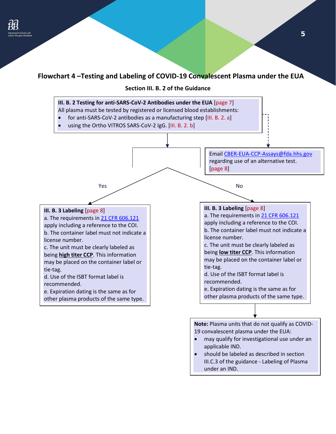## <span id="page-5-0"></span>**Flowchart 4 –Testing and Labeling of COVID-19 Convalescent Plasma under the EUA**

**Section III. B. 2 of the Guidance** 



under an IND.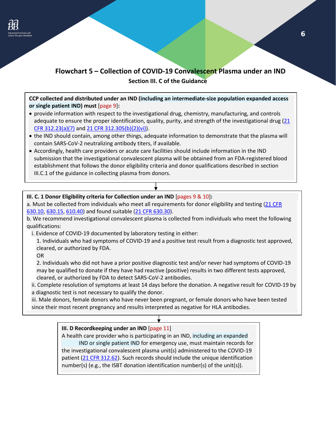

## <span id="page-6-0"></span>**Section III. C of the Guidance Flowchart 5 – Collection of COVID-19 Convalescent Plasma under an IND**

**CCP collected and distributed under an IND (including an intermediate-size population expanded access or single patient IND) must** [page 9]**:** 

- adequate to ensure the proper identification, quality, purity, and strength of the investigational drug (21) • provide information with respect to the investigational drug, chemistry, manufacturing, and controls [CFR 312.23\(a\)\(7\)](https://www.ecfr.gov/cgi-bin/text-idx?SID=1e6ba4a6a365d1d1d6b637956e38e952&mc=true&node=se21.5.312_123&rgn=div8) and [21 CFR 312.305\(b\)\(2\)\(vi\)\)](https://www.ecfr.gov/cgi-bin/text-idx?SID=1e6ba4a6a365d1d1d6b637956e38e952&mc=true&node=se21.5.312_1305&rgn=div8).
- the IND should contain, among other things, adequate information to demonstrate that the plasma will contain SARS-CoV-2 neutralizing antibody titers, if available.
- Accordingly, health care providers or acute care facilities should include information in the IND submission that the investigational convalescent plasma will be obtained from an FDA-registered blood establishment that follows the donor eligibility criteria and donor qualifications described in section III.C.1 of the guidance in collecting plasma from donors.

# • **III. C. 1 Donor Eligibility criteria for Collection under an IND** [pages 9 & 10]**:**

[630.10,](https://www.ecfr.gov/cgi-bin/text-idx?SID=1e6ba4a6a365d1d1d6b637956e38e952&mc=true&node=se21.7.630_110&rgn=div8) [630.15,](https://www.ecfr.gov/cgi-bin/text-idx?SID=1e6ba4a6a365d1d1d6b637956e38e952&mc=true&node=se21.7.630_115&rgn=div8) [610.40\)](https://www.ecfr.gov/cgi-bin/text-idx?SID=1e6ba4a6a365d1d1d6b637956e38e952&mc=true&node=se21.7.630_140&rgn=div8) and found suitable [\(21 CFR 630.30\)](https://www.ecfr.gov/cgi-bin/text-idx?SID=1e6ba4a6a365d1d1d6b637956e38e952&mc=true&node=se21.7.630_130&rgn=div8). a. Must be collected from individuals who meet all requirements for donor eligibility and testing [\(21 CFR](https://www.ecfr.gov/cgi-bin/text-idx?SID=1e6ba4a6a365d1d1d6b637956e38e952&mc=true&node=se21.7.630_110&rgn=div8) 

b. We recommend investigational convalescent plasma is collected from individuals who meet the following qualifications:

i. Evidence of COVID-19 documented by laboratory testing in either:

1. Individuals who had symptoms of COVID-19 and a positive test result from a diagnostic test approved, cleared, or authorized by FDA.

OR

2. Individuals who did not have a prior positive diagnostic test and/or never had symptoms of COVID-19 may be qualified to donate if they have had reactive (positive) results in two different tests approved, cleared, or authorized by FDA to detect SARS-CoV-2 antibodies.

ii. Complete resolution of symptoms at least 14 days before the donation. A negative result for COVID-19 by a diagnostic test is not necessary to qualify the donor.

 iii. Male donors, female donors who have never been pregnant, or female donors who have been tested since their most recent pregnancy and results interpreted as negative for HLA antibodies.

## • **III. D Recordkeeping under an IND** [page 11]

A health care provider who is participating in an IND, including an expanded IND or single patient IND for emergency use, must maintain records for the investigational convalescent plasma unit(s) administered to the COVID-19 patient [\(21 CFR 312.62\)](https://www.ecfr.gov/cgi-bin/text-idx?SID=1e6ba4a6a365d1d1d6b637956e38e952&mc=true&node=se21.5.312_162&rgn=div8). Such records should include the unique identification number(s) (e.g., the ISBT donation identification number(s) of the unit(s)).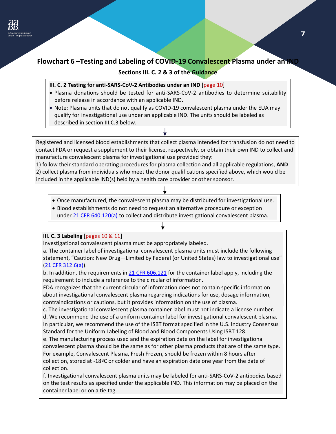## <span id="page-7-0"></span>**Flowchart 6 –Testing and Labeling of COVID-19 Convalescent Plasma under an IND**

## **Sections III. C. 2 & 3 of the Guidance**

- **III. C. 2 Testing for anti-SARS-CoV-2 Antibodies under an IND** [page 10]
- Plasma donations should be tested for anti-SARS-CoV-2 antibodies to determine suitability before release in accordance with an applicable IND.
- Note: Plasma units that do not qualify as COVID-19 convalescent plasma under the EUA may qualify for investigational use under an applicable IND. The units should be labeled as described in section III.C.3 below.

 Registered and licensed blood establishments that collect plasma intended for transfusion do not need to contact FDA or request a supplement to their license, respectively, or obtain their own IND to collect and manufacture convalescent plasma for investigational use provided they:

1) follow their standard operating procedures for plasma collection and all applicable regulations, **AND**  2) collect plasma from individuals who meet the donor qualifications specified above, which would be included in the applicable IND(s) held by a health care provider or other sponsor.

- Once manufactured, the convalescent plasma may be distributed for investigational use.
- Blood establishments do not need to request an alternative procedure or exception under [21 CFR 640.120\(a\)](https://www.ecfr.gov/cgi-bin/text-idx?SID=87da73914b39f4c3af850ea0c29ce975&mc=true&node=se21.7.640_1120&rgn=div8) to collect and distribute investigational convalescent plasma.

#### **III. C. 3 Labeling** [pages 10 & 11]

Investigational convalescent plasma must be appropriately labeled.

a. The container label of investigational convalescent plasma units must include the following statement, "Caution: New Drug—Limited by Federal (or United States) law to investigational use" [\(21 CFR 312.6\(a\)\)](https://www.ecfr.gov/cgi-bin/text-idx?SID=c1630d81e47a51b785e371bdb75ae384&mc=true&node=se21.5.312_16&rgn=div8).

b. In addition, the requirements i[n 21 CFR 606.121](https://www.ecfr.gov/cgi-bin/text-idx?SID=db553bf9293985245b0c0b573fad75fd&mc=true&node=se21.7.606_1121&rgn=div8) for the container label apply, including the requirement to include a reference to the circular of information.

 FDA recognizes that the current circular of information does not contain specific information about investigational convalescent plasma regarding indications for use, dosage information, contraindications or cautions, but it provides information on the use of plasma.

 d. We recommend the use of a uniform container label for investigational convalescent plasma. c. The investigational convalescent plasma container label must not indicate a license number. In particular, we recommend the use of the ISBT format specified in the U.S. Industry Consensus Standard for the Uniform Labeling of Blood and Blood Components Using ISBT 128.

e. The manufacturing process used and the expiration date on the label for investigational convalescent plasma should be the same as for other plasma products that are of the same type. For example, Convalescent Plasma, Fresh Frozen, should be frozen within 8 hours after collection, stored at -18ºC or colder and have an expiration date one year from the date of collection.

f. Investigational convalescent plasma units may be labeled for anti-SARS-CoV-2 antibodies based on the test results as specified under the applicable IND. This information may be placed on the container label or on a tie tag.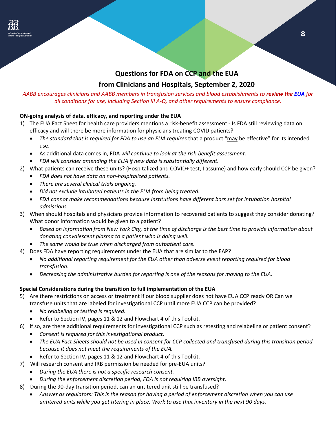## **Questions for FDA on CCP and the EUA**

## **from Clinicians and Hospitals, September 2, 2020**

## <span id="page-8-0"></span>*AABB encourages clinicians and AABB members in transfusion services and blood establishments to review the [EUA](https://www.fda.gov/media/141477/download) for all conditions for use, including Section III A-Q, and other requirements to ensure compliance.*

## **ON-going analysis of data, efficacy, and reporting under the EUA**

- 1) The EUA Fact Sheet for health care providers mentions a risk-benefit assessment Is FDA still reviewing data on efficacy and will there be more information for physicians treating COVID patients?
	- The standard that is required for FDA to use an EUA requires that a product "may be effective" for its intended use.
	- As additional data comes in, FDA *will continue to look at the risk-benefit assessment.*
	- *FDA will consider amending the EUA if new data is substantially different.*
- 2) What patients can receive these units? (Hospitalized and COVID+ test, I assume) and how early should CCP be given?
	- *FDA does not have data on non-hospitalized patients.*
	- *There are several clinical trials ongoing.*
	- *Did not exclude intubated patients in the EUA from being treated.*
	- *FDA cannot make recommendations because institutions have different bars set for intubation hospital admissions.*
- 3) When should hospitals and physicians provide information to recovered patients to suggest they consider donating? What donor information would be given to a patient?
	- *Based on information from New York City, at the time of discharge is the best time to provide information about donating convalescent plasma to a patient who is doing well.*
	- *The same would be true when discharged from outpatient care.*
- 4) Does FDA have reporting requirements under the EUA that are similar to the EAP?
	- *No additional reporting requirement for the EUA other than adverse event reporting required for blood transfusion.*
	- *Decreasing the administrative burden for reporting is one of the reasons for moving to the EUA.*

## **Special Considerations during the transition to full implementation of the EUA**

- 5) Are there restrictions on access or treatment if our blood supplier does not have EUA CCP ready OR Can we transfuse units that are labeled for investigational CCP until more EUA CCP can be provided?
	- *No relabeling or testing is required.*
	- Refer to Section IV, pages 11 & 12 and Flowchart 4 of this Toolkit.
- 6) If so, are there additional requirements for investigational CCP such as retesting and relabeling or patient consent?
	- *Consent is required for this investigational product.*
	- *The EUA Fact Sheets should not be used in consent for CCP collected and transfused during this transition period because it does not meet the requirements of the EUA.*
	- Refer to Section IV, pages 11 & 12 and Flowchart 4 of this Toolkit.
- 7) Will research consent and IRB permission be needed for pre-EUA units?
	- *During the EUA there is not a specific research consent.*
	- *During the enforcement discretion period, FDA is not requiring IRB oversight.*
- 8) During the 90-day transition period, can an untitered unit still be transfused?
	- *Answer as regulators: This is the reason for having a period of enforcement discretion when you can use untitered units while you get titering in place. Work to use that inventory in the next 90 days.*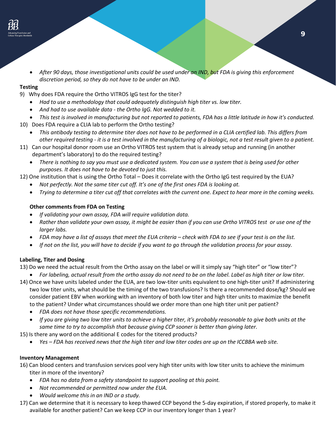• *After 90 days, those investigational units could be used under an IND, but FDA is giving this enforcement discretion period, so they do not have to be under an IND.* 

#### **Testing**

- 9) Why does FDA require the Ortho VITROS IgG test for the titer?
	- *Had to use a methodology that could adequately distinguish high titer vs. low titer.*
	- *And had to use available data - the Ortho IgG. Not wedded to it.*
- *This test is involved in manufacturing but not reported to patients, FDA has a little latitude in how it's conducted.*
- 10) Does FDA require a CLIA lab to perform the Ortho testing?
	- *This antibody testing to determine titer does not have to be performed in a CLIA certified lab. This differs from other required testing - it is a test involved in the manufacturing of a biologic, not a test result given to a patient.*
- 11) Can our hospital donor room use an Ortho VITROS test system that is already setup and running (in another department's laboratory) to do the required testing?
	- *There is nothing to say you must use a dedicated system. You can use a system that is being used for other purposes. It does not have to be devoted to just this.*
- 12) One institution that is using the Ortho Total Does it correlate with the Ortho IgG test required by the EUA?
	- *Not perfectly. Not the same titer cut off. It's one of the first ones FDA is looking at.*
	- *Trying to determine a titer cut off that correlates with the current one. Expect to hear more in the coming weeks.*

## **Other comments from FDA on Testing**

- *If validating your own assay, FDA will require validation data.*
- *Rather than validate your own assay, it might be easier than if you can use Ortho VITROS test or use one of the larger labs.*
- *FDA may have a list of assays that meet the EUA criteria – check with FDA to see if your test is on the list.*
- *If not on the list, you will have to decide if you want to go through the validation process for your assay.*

## **Labeling, Titer and Dosing**

- 13) Do we need the actual result from the Ortho assay on the label or will it simply say "high titer" or "low titer"?
	- *For labeling, actual result from the ortho assay do not need to be on the label. Label as high titer or low titer.*
- to the patient? Under what circumstances should we order more than one high titer unit per patient? 14) Once we have units labeled under the EUA, are two low-titer units equivalent to one high-titer unit? If administering two low titer units, what should be the timing of the two transfusions? Is there a recommended dose/kg? Should we consider patient EBV when working with an inventory of both low titer and high titer units to maximize the benefit
	- *FDA does not have those specific recommendations.*
	- *If you are giving two low titer units to achieve a higher titer, it's probably reasonable to give both units at the same time to try to accomplish that because giving CCP sooner is better than giving later.*
- 15) Is there any word on the additional E codes for the titered products?
	- *Yes – FDA has received news that the high titer and low titer codes are up on the ICCBBA web site.*

## **Inventory Management**

- 16) Can blood centers and transfusion services pool very high titer units with low titer units to achieve the minimum titer in more of the inventory?
	- *FDA has no data from a safety standpoint to support pooling at this point.*
	- *Not recommended or permitted now under the EUA.*
	- *Would welcome this in an IND or a study.*
- 17) Can we determine that it is necessary to keep thawed CCP beyond the 5-day expiration, if stored properly, to make it available for another patient? Can we keep CCP in our inventory longer than 1 year?